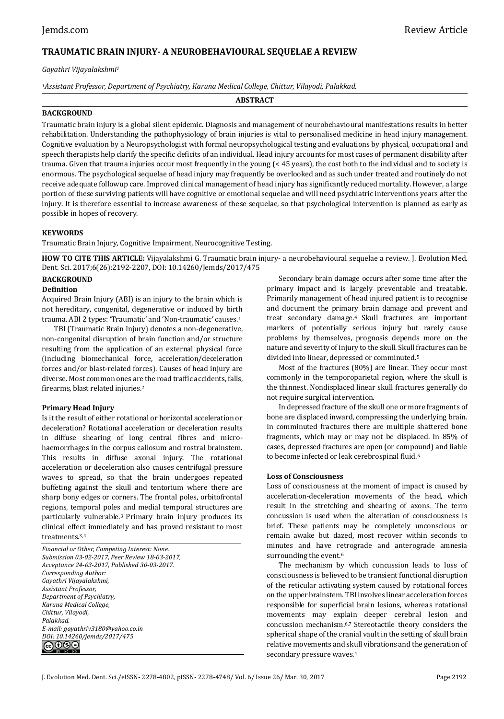# **TRAUMATIC BRAIN INJURY- A NEUROBEHAVIOURAL SEQUELAE A REVIEW**

*Gayathri Vijayalakshmi<sup>1</sup>*

*<sup>1</sup>Assistant Professor, Department of Psychiatry, Karuna Medical College, Chittur, Vilayodi, Palakkad.*

**ABSTRACT**

## **BACKGROUND**

Traumatic brain injury is a global silent epidemic. Diagnosis and management of neurobehavioural manifestations results in better rehabilitation. Understanding the pathophysiology of brain injuries is vital to personalised medicine in head injury management. Cognitive evaluation by a Neuropsychologist with formal neuropsychological testing and evaluations by physical, occupational and speech therapists help clarify the specific deficits of an individual. Head injury accounts for most cases of permanent disability after trauma. Given that trauma injuries occur most frequently in the young (< 45 years), the cost both to the individual and to society is enormous. The psychological sequelae of head injury may frequently be overlooked and as such under treated and routinely do not receive adequate followup care. Improved clinical management of head injury has significantly reduced mortality. However, a large portion of these surviving patients will have cognitive or emotional sequelae and will need psychiatric interventions years after the injury. It is therefore essential to increase awareness of these sequelae, so that psychological intervention is planned as early as possible in hopes of recovery.

# **KEYWORDS**

Traumatic Brain Injury, Cognitive Impairment, Neurocognitive Testing.

**HOW TO CITE THIS ARTICLE:** Vijayalakshmi G. Traumatic brain injury- a neurobehavioural sequelae a review. J. Evolution Med. Dent. Sci. 2017;6(26):2192-2207, DOI: 10.14260/Jemds/2017/475

# **BACKGROUND**

## **Definition**

Acquired Brain Injury (ABI) is an injury to the brain which is not hereditary, congenital, degenerative or induced by birth trauma. ABI 2 types: 'Traumatic' and 'Non-traumatic' causes.<sup>1</sup>

TBI (Traumatic Brain Injury) denotes a non-degenerative, non-congenital disruption of brain function and/or structure resulting from the application of an external physical force (including biomechanical force, acceleration/deceleration forces and/or blast-related forces). Causes of head injury are diverse. Most common ones are the road traffic accidents, falls, firearms, blast related injuries.<sup>2</sup>

# **Primary Head Injury**

Is it the result of either rotational or horizontal acceleration or deceleration? Rotational acceleration or deceleration results in diffuse shearing of long central fibres and microhaemorrhages in the corpus callosum and rostral brainstem. This results in diffuse axonal injury. The rotational acceleration or deceleration also causes centrifugal pressure waves to spread, so that the brain undergoes repeated buffeting against the skull and tentorium where there are sharp bony edges or corners. The frontal poles, orbitofrontal regions, temporal poles and medial temporal structures are particularly vulnerable.3 Primary brain injury produces its clinical effect immediately and has proved resistant to most treatments.3,4

*Financial or Other, Competing Interest: None. Submission 03-02-2017, Peer Review 18-03-2017, Acceptance 24-03-2017, Published 30-03-2017. Corresponding Author: Gayathri Vijayalakshmi, Assistant Professor, Department of Psychiatry, Karuna Medical College, Chittur, Vilayodi, Palakkad. E-mail: gayathriv3180@yahoo.co.in DOI: 10.14260/jemds/2017/475* ෬0⊗⊜

Secondary brain damage occurs after some time after the primary impact and is largely preventable and treatable. Primarily management of head injured patient is to recognise and document the primary brain damage and prevent and treat secondary damage.<sup>4</sup> Skull fractures are important markers of potentially serious injury but rarely cause problems by themselves, prognosis depends more on the nature and severity of injury to the skull. Skull fractures can be divided into linear, depressed or comminuted.<sup>5</sup>

Most of the fractures (80%) are linear. They occur most commonly in the temporoparietal region, where the skull is the thinnest. Nondisplaced linear skull fractures generally do not require surgical intervention.

In depressed fracture of the skull one or more fragments of bone are displaced inward, compressing the underlying brain. In comminuted fractures there are multiple shattered bone fragments, which may or may not be displaced. In 85% of cases, depressed fractures are open (or compound) and liable to become infected or leak cerebrospinal fluid.<sup>5</sup>

### **Loss of Consciousness**

Loss of consciousness at the moment of impact is caused by acceleration-deceleration movements of the head, which result in the stretching and shearing of axons. The term concussion is used when the alteration of consciousness is brief. These patients may be completely unconscious or remain awake but dazed, most recover within seconds to minutes and have retrograde and anterograde amnesia surrounding the event.<sup>6</sup>

The mechanism by which concussion leads to loss of consciousness is believed to be transient functional disruption of the reticular activating system caused by rotational forces on the upper brainstem. TBI involves linear acceleration forces responsible for superficial brain lesions, whereas rotational movements may explain deeper cerebral lesion and concussion mechanism.6,7 Stereotactile theory considers the spherical shape of the cranial vault in the setting of skull brain relative movements and skull vibrations and the generation of secondary pressure waves.4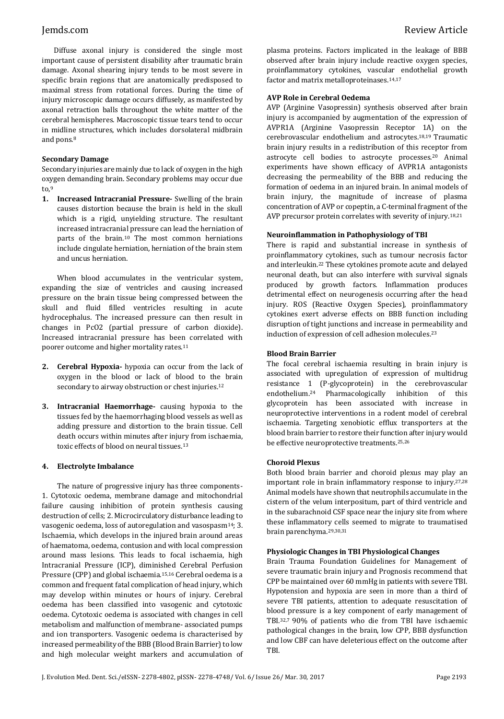Diffuse axonal injury is considered the single most important cause of persistent disability after traumatic brain damage. Axonal shearing injury tends to be most severe in specific brain regions that are anatomically predisposed to maximal stress from rotational forces. During the time of injury microscopic damage occurs diffusely, as manifested by axonal retraction balls throughout the white matter of the cerebral hemispheres. Macroscopic tissue tears tend to occur in midline structures, which includes dorsolateral midbrain and pons.<sup>8</sup>

## **Secondary Damage**

Secondary injuries are mainly due to lack of oxygen in the high oxygen demanding brain. Secondary problems may occur due to. $9$ 

**1. Increased Intracranial Pressure-** Swelling of the brain causes distortion because the brain is held in the skull which is a rigid, unyielding structure. The resultant increased intracranial pressure can lead the herniation of parts of the brain.<sup>10</sup> The most common herniations include cingulate herniation, herniation of the brain stem and uncus herniation.

When blood accumulates in the ventricular system, expanding the size of ventricles and causing increased pressure on the brain tissue being compressed between the skull and fluid filled ventricles resulting in acute hydrocephalus. The increased pressure can then result in changes in PcO2 (partial pressure of carbon dioxide). Increased intracranial pressure has been correlated with poorer outcome and higher mortality rates.<sup>11</sup>

- **2. Cerebral Hypoxia-** hypoxia can occur from the lack of oxygen in the blood or lack of blood to the brain secondary to airway obstruction or chest injuries.<sup>12</sup>
- **3. Intracranial Haemorrhage-** causing hypoxia to the tissues fed by the haemorrhaging blood vessels as well as adding pressure and distortion to the brain tissue. Cell death occurs within minutes after injury from ischaemia, toxic effects of blood on neural tissues.<sup>13</sup>

# **4. Electrolyte Imbalance**

The nature of progressive injury has three components-1. Cytotoxic oedema, membrane damage and mitochondrial failure causing inhibition of protein synthesis causing destruction of cells; 2. Microcirculatory disturbance leading to vasogenic oedema, loss of autoregulation and vasospasm14; 3. Ischaemia, which develops in the injured brain around areas of haematoma, oedema, contusion and with local compression around mass lesions. This leads to focal ischaemia, high Intracranial Pressure (ICP), diminished Cerebral Perfusion Pressure (CPP) and global ischaemia.15,16 Cerebral oedema is a common and frequent fatal complication of head injury, which may develop within minutes or hours of injury. Cerebral oedema has been classified into vasogenic and cytotoxic oedema. Cytotoxic oedema is associated with changes in cell metabolism and malfunction of membrane- associated pumps and ion transporters. Vasogenic oedema is characterised by increased permeability of the BBB (Blood Brain Barrier) to low and high molecular weight markers and accumulation of plasma proteins. Factors implicated in the leakage of BBB observed after brain injury include reactive oxygen species, proinflammatory cytokines, vascular endothelial growth factor and matrix metalloproteinases.14,17

## **AVP Role in Cerebral Oedema**

AVP (Arginine Vasopressin) synthesis observed after brain injury is accompanied by augmentation of the expression of AVPR1A (Arginine Vasopressin Receptor 1A) on the cerebrovascular endothelium and astrocytes.18,19 Traumatic brain injury results in a redistribution of this receptor from astrocyte cell bodies to astrocyte processes.<sup>20</sup> Animal experiments have shown efficacy of AVPR1A antagonists decreasing the permeability of the BBB and reducing the formation of oedema in an injured brain. In animal models of brain injury, the magnitude of increase of plasma concentration of AVP or copeptin, a C-terminal fragment of the AVP precursor protein correlates with severity of injury.<sup>18,21</sup>

## **Neuroinflammation in Pathophysiology of TBI**

There is rapid and substantial increase in synthesis of proinflammatory cytokines, such as tumour necrosis factor and interleukin.<sup>22</sup> These cytokines promote acute and delayed neuronal death, but can also interfere with survival signals produced by growth factors. Inflammation produces detrimental effect on neurogenesis occurring after the head injury. ROS (Reactive Oxygen Species), proinflammatory cytokines exert adverse effects on BBB function including disruption of tight junctions and increase in permeability and induction of expression of cell adhesion molecules.<sup>23</sup>

## **Blood Brain Barrier**

The focal cerebral ischaemia resulting in brain injury is associated with upregulation of expression of multidrug resistance 1 (P-glycoprotein) in the cerebrovascular endothelium.<sup>24</sup> Pharmacologically inhibition of this glycoprotein has been associated with increase in neuroprotective interventions in a rodent model of cerebral ischaemia. Targeting xenobiotic efflux transporters at the blood brain barrier to restore their function after injury would be effective neuroprotective treatments.25,26

### **Choroid Plexus**

Both blood brain barrier and choroid plexus may play an important role in brain inflammatory response to injury.27,28 Animal models have shown that neutrophils accumulate in the cistern of the velum interpositum, part of third ventricle and in the subarachnoid CSF space near the injury site from where these inflammatory cells seemed to migrate to traumatised brain parenchyma.29,30,31

### **Physiologic Changes in TBI Physiological Changes**

Brain Trauma Foundation Guidelines for Management of severe traumatic brain injury and Prognosis recommend that CPP be maintained over 60 mmHg in patients with severe TBI. Hypotension and hypoxia are seen in more than a third of severe TBI patients, attention to adequate resuscitation of blood pressure is a key component of early management of TBI.32,7 90% of patients who die from TBI have ischaemic pathological changes in the brain, low CPP, BBB dysfunction and low CBF can have deleterious effect on the outcome after TBI.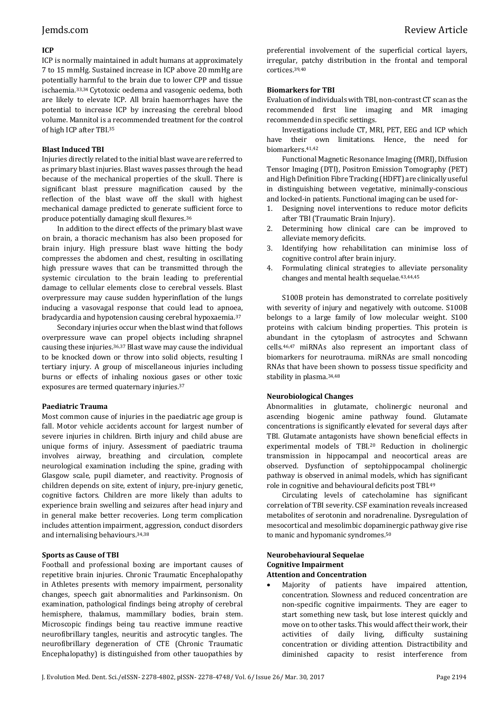# Jemds.com Review Article

## **ICP**

ICP is normally maintained in adult humans at approximately 7 to 15 mmHg. Sustained increase in ICP above 20 mmHg are potentially harmful to the brain due to lower CPP and tissue ischaemia.33,34 Cytotoxic oedema and vasogenic oedema, both are likely to elevate ICP. All brain haemorrhages have the potential to increase ICP by increasing the cerebral blood volume. Mannitol is a recommended treatment for the control of high ICP after TBI.<sup>35</sup>

## **Blast Induced TBI**

Injuries directly related to the initial blast wave are referred to as primary blast injuries. Blast waves passes through the head because of the mechanical properties of the skull. There is significant blast pressure magnification caused by the reflection of the blast wave off the skull with highest mechanical damage predicted to generate sufficient force to produce potentially damaging skull flexures.<sup>36</sup>

In addition to the direct effects of the primary blast wave on brain, a thoracic mechanism has also been proposed for brain injury. High pressure blast wave hitting the body compresses the abdomen and chest, resulting in oscillating high pressure waves that can be transmitted through the systemic circulation to the brain leading to preferential damage to cellular elements close to cerebral vessels. Blast overpressure may cause sudden hyperinflation of the lungs inducing a vasovagal response that could lead to apnoea, bradycardia and hypotension causing cerebral hypoxaemia.<sup>37</sup>

Secondary injuries occur when the blast wind that follows overpressure wave can propel objects including shrapnel causing these injuries.36,37 Blast wave may cause the individual to be knocked down or throw into solid objects, resulting I tertiary injury. A group of miscellaneous injuries including burns or effects of inhaling noxious gases or other toxic exposures are termed quaternary injuries.<sup>37</sup>

### **Paediatric Trauma**

Most common cause of injuries in the paediatric age group is fall. Motor vehicle accidents account for largest number of severe injuries in children. Birth injury and child abuse are unique forms of injury. Assessment of paediatric trauma involves airway, breathing and circulation, complete neurological examination including the spine, grading with Glasgow scale, pupil diameter, and reactivity. Prognosis of children depends on site, extent of injury, pre-injury genetic, cognitive factors. Children are more likely than adults to experience brain swelling and seizures after head injury and in general make better recoveries. Long term complication includes attention impairment, aggression, conduct disorders and internalising behaviours.34,38

### **Sports as Cause of TBI**

Football and professional boxing are important causes of repetitive brain injuries. Chronic Traumatic Encephalopathy in Athletes presents with memory impairment, personality changes, speech gait abnormalities and Parkinsonism. On examination, pathological findings being atrophy of cerebral hemisphere, thalamus, mammillary bodies, brain stem. Microscopic findings being tau reactive immune reactive neurofibrillary tangles, neuritis and astrocytic tangles. The neurofibrillary degeneration of CTE (Chronic Traumatic Encephalopathy) is distinguished from other tauopathies by

preferential involvement of the superficial cortical layers, irregular, patchy distribution in the frontal and temporal cortices.39,40

## **Biomarkers for TBI**

Evaluation of individuals with TBI, non-contrast CT scan as the recommended first line imaging and MR imaging recommended in specific settings.

Investigations include CT, MRI, PET, EEG and ICP which have their own limitations. Hence, the need for biomarkers.41,42

Functional Magnetic Resonance Imaging (fMRI), Diffusion Tensor Imaging (DTI), Positron Emission Tomography (PET) and High Definition Fibre Tracking (HDFT) are clinically useful in distinguishing between vegetative, minimally-conscious and locked-in patients. Functional imaging can be used for-

- 1. Designing novel interventions to reduce motor deficits after TBI (Traumatic Brain Injury).
- 2. Determining how clinical care can be improved to alleviate memory deficits.
- 3. Identifying how rehabilitation can minimise loss of cognitive control after brain injury.
- 4. Formulating clinical strategies to alleviate personality changes and mental health sequelae.43,44,45

S100B protein has demonstrated to correlate positively with severity of injury and negatively with outcome. S100B belongs to a large family of low molecular weight. S100 proteins with calcium binding properties. This protein is abundant in the cytoplasm of astrocytes and Schwann cells.46,47 miRNAs also represent an important class of biomarkers for neurotrauma. miRNAs are small noncoding RNAs that have been shown to possess tissue specificity and stability in plasma.34,48

### **Neurobiological Changes**

Abnormalities in glutamate, cholinergic neuronal and ascending biogenic amine pathway found. Glutamate concentrations is significantly elevated for several days after TBI. Glutamate antagonists have shown beneficial effects in experimental models of TBI.<sup>20</sup> Reduction in cholinergic transmission in hippocampal and neocortical areas are observed. Dysfunction of septohippocampal cholinergic pathway is observed in animal models, which has significant role in cognitive and behavioural deficits post TBI.<sup>49</sup>

Circulating levels of catecholamine has significant correlation of TBI severity. CSF examination reveals increased metabolites of serotonin and noradrenaline. Dysregulation of mesocortical and mesolimbic dopaminergic pathway give rise to manic and hypomanic syndromes.<sup>50</sup>

#### **Neurobehavioural Sequelae Cognitive Impairment Attention and Concentration**

 Majority of patients have impaired attention, concentration. Slowness and reduced concentration are non-specific cognitive impairments. They are eager to start something new task, but lose interest quickly and move on to other tasks. This would affect their work, their activities of daily living, difficulty sustaining concentration or dividing attention. Distractibility and diminished capacity to resist interference from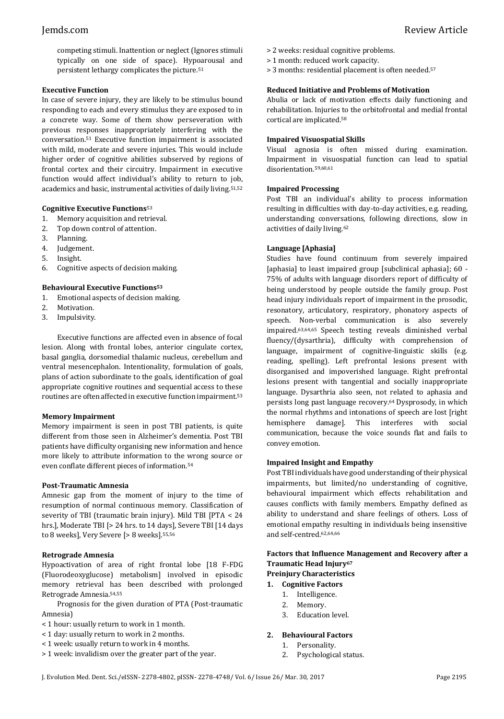competing stimuli. Inattention or neglect (Ignores stimuli typically on one side of space). Hypoarousal and persistent lethargy complicates the picture.<sup>51</sup>

### **Executive Function**

In case of severe injury, they are likely to be stimulus bound responding to each and every stimulus they are exposed to in a concrete way. Some of them show perseveration with previous responses inappropriately interfering with the conversation.<sup>51</sup> Executive function impairment is associated with mild, moderate and severe injuries. This would include higher order of cognitive abilities subserved by regions of frontal cortex and their circuitry. Impairment in executive function would affect individual's ability to return to job, academics and basic, instrumental activities of daily living.51,52

#### **Cognitive Executive Functions**<sup>53</sup>

- 1. Memory acquisition and retrieval.
- 2. Top down control of attention.
- 3. Planning.
- 4. Judgement.
- 5. Insight.
- 6. Cognitive aspects of decision making.

#### **Behavioural Executive Functions<sup>53</sup>**

- 1. Emotional aspects of decision making.
- 2. Motivation.
- 3. Impulsivity.

Executive functions are affected even in absence of focal lesion. Along with frontal lobes, anterior cingulate cortex, basal ganglia, dorsomedial thalamic nucleus, cerebellum and ventral mesencephalon. Intentionality, formulation of goals, plans of action subordinate to the goals, identification of goal appropriate cognitive routines and sequential access to these routines are often affected in executive function impairment.<sup>53</sup>

### **Memory Impairment**

Memory impairment is seen in post TBI patients, is quite different from those seen in Alzheimer's dementia. Post TBI patients have difficulty organising new information and hence more likely to attribute information to the wrong source or even conflate different pieces of information.<sup>54</sup>

#### **Post-Traumatic Amnesia**

Amnesic gap from the moment of injury to the time of resumption of normal continuous memory. Classification of severity of TBI (traumatic brain injury). Mild TBI [PTA < 24 hrs.], Moderate TBI [> 24 hrs. to 14 days], Severe TBI [14 days] to 8 weeks], Very Severe [> 8 weeks].55,56

#### **Retrograde Amnesia**

Hypoactivation of area of right frontal lobe [18 F-FDG (Fluorodeoxyglucose) metabolism] involved in episodic memory retrieval has been described with prolonged Retrograde Amnesia.54,55

Prognosis for the given duration of PTA (Post-traumatic Amnesia)

- < 1 hour: usually return to work in 1 month.
- < 1 day: usually return to work in 2 months.
- < 1 week: usually return to work in 4 months.
- > 1 week: invalidism over the greater part of the year.
- > 2 weeks: residual cognitive problems.
- > 1 month: reduced work capacity.
- > 3 months: residential placement is often needed. 57

### **Reduced Initiative and Problems of Motivation**

Abulia or lack of motivation effects daily functioning and rehabilitation. Injuries to the orbitofrontal and medial frontal cortical are implicated. 58

### **Impaired Visuospatial Skills**

Visual agnosia is often missed during examination. Impairment in visuospatial function can lead to spatial disorientation.59,60,61

#### **Impaired Processing**

Post TBI an individual's ability to process information resulting in difficulties with day-to-day activities, e.g. reading, understanding conversations, following directions, slow in activities of daily living.<sup>62</sup>

#### **Language [Aphasia]**

Studies have found continuum from severely impaired [aphasia] to least impaired group [subclinical aphasia]; 60 -75% of adults with language disorders report of difficulty of being understood by people outside the family group. Post head injury individuals report of impairment in the prosodic, resonatory, articulatory, respiratory, phonatory aspects of speech. Non-verbal communication is also severely impaired.63,64,65 Speech testing reveals diminished verbal fluency/(dysarthria), difficulty with comprehension of language, impairment of cognitive-linguistic skills (e.g. reading, spelling). Left prefrontal lesions present with disorganised and impoverished language. Right prefrontal lesions present with tangential and socially inappropriate language. Dysarthria also seen, not related to aphasia and persists long past language recovery.<sup>64</sup> Dysprosody, in which the normal rhythms and intonations of speech are lost [right hemisphere damage]. This interferes with social communication, because the voice sounds flat and fails to convey emotion.

### **Impaired Insight and Empathy**

Post TBI individuals have good understanding of their physical impairments, but limited/no understanding of cognitive, behavioural impairment which effects rehabilitation and causes conflicts with family members. Empathy defined as ability to understand and share feelings of others. Loss of emotional empathy resulting in individuals being insensitive and self-centred.62,64,66

# **Factors that Influence Management and Recovery after a Traumatic Head Injury<sup>67</sup>**

# **Preinjury Characteristics**

- **1. Cognitive Factors** 1. Intelligence.
	-
	- 2. Memory.
	- 3. Education level.

#### **2. Behavioural Factors**

- 1. Personality.
- 2. Psychological status.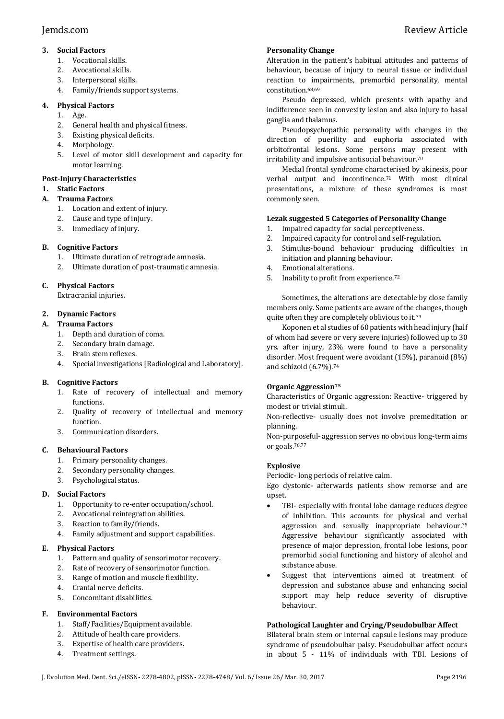# **3. Social Factors**

- 1. Vocational skills.
- 2. Avocational skills.
- 3. Interpersonal skills.
- 4. Family/friends support systems.

# **4. Physical Factors**

- 1. Age.
- 2. General health and physical fitness.
- 3. Existing physical deficits.
- 4. Morphology.
- 5. Level of motor skill development and capacity for motor learning.

# **Post-Injury Characteristics**

# **1. Static Factors**

- **A. Trauma Factors**
	- 1. Location and extent of injury.
	- 2. Cause and type of injury.
	- 3. Immediacy of injury.

# **B. Cognitive Factors**

- 1. Ultimate duration of retrograde amnesia.
- 2. Ultimate duration of post-traumatic amnesia.

# **C. Physical Factors**

Extracranial injuries.

# **2. Dynamic Factors**

- **A. Trauma Factors**
	- 1. Depth and duration of coma.
	- 2. Secondary brain damage.
	- 3. Brain stem reflexes.
	- 4. Special investigations [Radiological and Laboratory].

# **B. Cognitive Factors**

- 1. Rate of recovery of intellectual and memory functions.
- 2. Quality of recovery of intellectual and memory function.
- 3. Communication disorders.

# **C. Behavioural Factors**

- 1. Primary personality changes.
- 2. Secondary personality changes.
- 3. Psychological status.

# **D. Social Factors**

- 1. Opportunity to re-enter occupation/school.
- 2. Avocational reintegration abilities.
- 3. Reaction to family/friends.
- 4. Family adjustment and support capabilities.

# **E. Physical Factors**

- 1. Pattern and quality of sensorimotor recovery.
- 2. Rate of recovery of sensorimotor function.
- 3. Range of motion and muscle flexibility.
- 4. Cranial nerve deficits.
- 5. Concomitant disabilities.

# **F. Environmental Factors**

- 1. Staff/Facilities/Equipment available.
- 2. Attitude of health care providers.
- 3. Expertise of health care providers.
- 4. Treatment settings.

# **Personality Change**

Alteration in the patient's habitual attitudes and patterns of behaviour, because of injury to neural tissue or individual reaction to impairments, premorbid personality, mental constitution.68,69

Pseudo depressed, which presents with apathy and indifference seen in convexity lesion and also injury to basal ganglia and thalamus.

Pseudopsychopathic personality with changes in the direction of puerility and euphoria associated with orbitofrontal lesions. Some persons may present with irritability and impulsive antisocial behaviour.<sup>70</sup>

Medial frontal syndrome characterised by akinesis, poor verbal output and incontinence.<sup>71</sup> With most clinical presentations, a mixture of these syndromes is most commonly seen.

# **Lezak suggested 5 Categories of Personality Change**

- 1. Impaired capacity for social perceptiveness.
- 2. Impaired capacity for control and self-regulation.
- 3. Stimulus-bound behaviour producing difficulties in initiation and planning behaviour.
- 4. Emotional alterations.
- 5. Inability to profit from experience. 72

Sometimes, the alterations are detectable by close family members only. Some patients are aware of the changes, though quite often they are completely oblivious to it.<sup>73</sup>

Koponen et al studies of 60 patients with head injury (half of whom had severe or very severe injuries) followed up to 30 yrs. after injury, 23% were found to have a personality disorder. Most frequent were avoidant (15%), paranoid (8%) and schizoid (6.7%).<sup>74</sup>

# **Organic Aggression<sup>75</sup>**

Characteristics of Organic aggression: Reactive- triggered by modest or trivial stimuli.

Non-reflective- usually does not involve premeditation or planning.

Non-purposeful- aggression serves no obvious long-term aims or goals. 76,77

# **Explosive**

Periodic- long periods of relative calm.

Ego dystonic- afterwards patients show remorse and are upset.

- TBI- especially with frontal lobe damage reduces degree of inhibition. This accounts for physical and verbal aggression and sexually inappropriate behaviour.<sup>75</sup> Aggressive behaviour significantly associated with presence of major depression, frontal lobe lesions, poor premorbid social functioning and history of alcohol and substance abuse.
- Suggest that interventions aimed at treatment of depression and substance abuse and enhancing social support may help reduce severity of disruptive behaviour.

# **Pathological Laughter and Crying/Pseudobulbar Affect**

Bilateral brain stem or internal capsule lesions may produce syndrome of pseudobulbar palsy. Pseudobulbar affect occurs in about 5 - 11% of individuals with TBI. Lesions of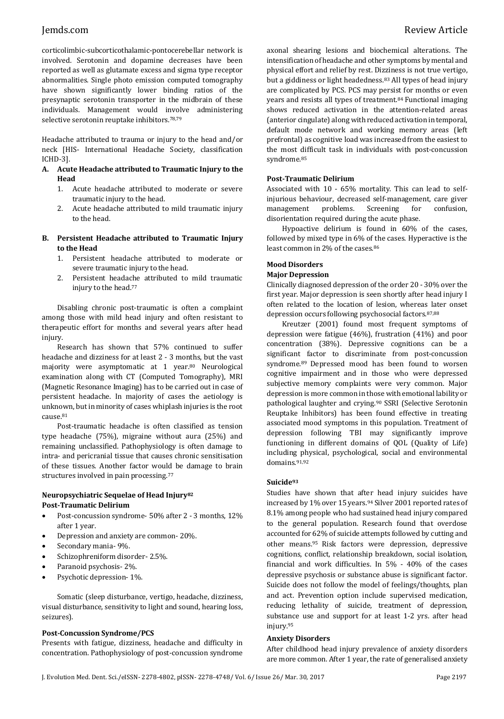corticolimbic-subcorticothalamic-pontocerebellar network is involved. Serotonin and dopamine decreases have been reported as well as glutamate excess and sigma type receptor abnormalities. Single photo emission computed tomography have shown significantly lower binding ratios of the presynaptic serotonin transporter in the midbrain of these individuals. Management would involve administering selective serotonin reuptake inhibitors.<sup>78,79</sup>

Headache attributed to trauma or injury to the head and/or neck [HIS- International Headache Society, classification ICHD-3].

- **A. Acute Headache attributed to Traumatic Injury to the Head**
	- 1. Acute headache attributed to moderate or severe traumatic injury to the head.
	- 2. Acute headache attributed to mild traumatic injury to the head.

### **B. Persistent Headache attributed to Traumatic Injury to the Head**

- 1. Persistent headache attributed to moderate or severe traumatic injury to the head.
- 2. Persistent headache attributed to mild traumatic injury to the head. 77

Disabling chronic post-traumatic is often a complaint among those with mild head injury and often resistant to therapeutic effort for months and several years after head injury.

Research has shown that 57% continued to suffer headache and dizziness for at least 2 - 3 months, but the vast majority were asymptomatic at 1 year.<sup>80</sup> Neurological examination along with CT (Computed Tomography), MRI (Magnetic Resonance Imaging) has to be carried out in case of persistent headache. In majority of cases the aetiology is unknown, but in minority of cases whiplash injuries is the root cause.<sup>81</sup>

Post-traumatic headache is often classified as tension type headache (75%), migraine without aura (25%) and remaining unclassified. Pathophysiology is often damage to intra- and pericranial tissue that causes chronic sensitisation of these tissues. Another factor would be damage to brain structures involved in pain processing.<sup>77</sup>

### **Neuropsychiatric Sequelae of Head Injury<sup>82</sup> Post-Traumatic Delirium**

- Post-concussion syndrome- 50% after 2 3 months, 12% after 1 year.
- Depression and anxiety are common- 20%.
- Secondary mania- 9%.
- Schizophreniform disorder- 2.5%.
- Paranoid psychosis- 2%.
- Psychotic depression- 1%.

Somatic (sleep disturbance, vertigo, headache, dizziness, visual disturbance, sensitivity to light and sound, hearing loss, seizures).

### **Post-Concussion Syndrome/PCS**

Presents with fatigue, dizziness, headache and difficulty in concentration. Pathophysiology of post-concussion syndrome axonal shearing lesions and biochemical alterations. The intensification of headache and other symptoms by mental and physical effort and relief by rest. Dizziness is not true vertigo, but a giddiness or light headedness.<sup>83</sup> All types of head injury are complicated by PCS. PCS may persist for months or even years and resists all types of treatment.<sup>84</sup> Functional imaging shows reduced activation in the attention-related areas (anterior cingulate) along with reduced activation in temporal, default mode network and working memory areas (left prefrontal) as cognitive load was increased from the easiest to the most difficult task in individuals with post-concussion syndrome.<sup>85</sup>

#### **Post-Traumatic Delirium**

Associated with 10 - 65% mortality. This can lead to selfinjurious behaviour, decreased self-management, care giver management problems. Screening for confusion, disorientation required during the acute phase.

Hypoactive delirium is found in 60% of the cases, followed by mixed type in 6% of the cases. Hyperactive is the least common in 2% of the cases.<sup>86</sup>

# **Mood Disorders**

#### **Major Depression**

Clinically diagnosed depression of the order 20 - 30% over the first year. Major depression is seen shortly after head injury I often related to the location of lesion, whereas later onset depression occurs following psychosocial factors.87,88

Kreutzer (2001) found most frequent symptoms of depression were fatigue (46%), frustration (41%) and poor concentration (38%). Depressive cognitions can be a significant factor to discriminate from post-concussion syndrome.<sup>89</sup> Depressed mood has been found to worsen cognitive impairment and in those who were depressed subjective memory complaints were very common. Major depression is more common in those with emotional lability or pathological laughter and crying.<sup>90</sup> SSRI (Selective Serotonin Reuptake Inhibitors) has been found effective in treating associated mood symptoms in this population. Treatment of depression following TBI may significantly improve functioning in different domains of QOL (Quality of Life) including physical, psychological, social and environmental domains.91,92

### **Suicide<sup>93</sup>**

Studies have shown that after head injury suicides have increased by 1% over 15 years.<sup>94</sup> Silver 2001 reported rates of 8.1% among people who had sustained head injury compared to the general population. Research found that overdose accounted for 62% of suicide attempts followed by cutting and other means.<sup>95</sup> Risk factors were depression, depressive cognitions, conflict, relationship breakdown, social isolation, financial and work difficulties. In 5% - 40% of the cases depressive psychosis or substance abuse is significant factor. Suicide does not follow the model of feelings/thoughts, plan and act. Prevention option include supervised medication, reducing lethality of suicide, treatment of depression, substance use and support for at least 1-2 yrs. after head injury.<sup>95</sup>

### **Anxiety Disorders**

After childhood head injury prevalence of anxiety disorders are more common. After 1 year, the rate of generalised anxiety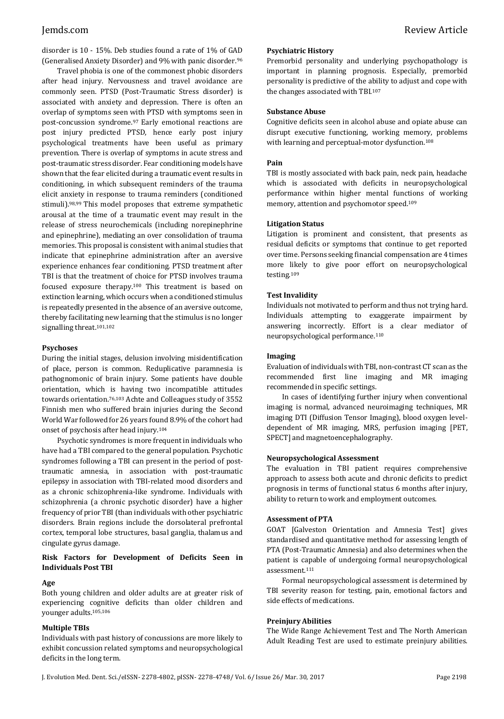disorder is 10 - 15%. Deb studies found a rate of 1% of GAD (Generalised Anxiety Disorder) and 9% with panic disorder.<sup>96</sup>

Travel phobia is one of the commonest phobic disorders after head injury. Nervousness and travel avoidance are commonly seen. PTSD (Post-Traumatic Stress disorder) is associated with anxiety and depression. There is often an overlap of symptoms seen with PTSD with symptoms seen in post-concussion syndrome.<sup>97</sup> Early emotional reactions are post injury predicted PTSD, hence early post injury psychological treatments have been useful as primary prevention. There is overlap of symptoms in acute stress and post-traumatic stress disorder. Fear conditioning models have shown that the fear elicited during a traumatic event results in conditioning, in which subsequent reminders of the trauma elicit anxiety in response to trauma reminders (conditioned stimuli).98,99 This model proposes that extreme sympathetic arousal at the time of a traumatic event may result in the release of stress neurochemicals (including norepinephrine and epinephrine), mediating an over consolidation of trauma memories. This proposal is consistent with animal studies that indicate that epinephrine administration after an aversive experience enhances fear conditioning. PTSD treatment after TBI is that the treatment of choice for PTSD involves trauma focused exposure therapy.<sup>100</sup> This treatment is based on extinction learning, which occurs when a conditioned stimulus is repeatedly presented in the absence of an aversive outcome, thereby facilitating new learning that the stimulus is no longer signalling threat.101,102

#### **Psychoses**

During the initial stages, delusion involving misidentification of place, person is common. Reduplicative paramnesia is pathognomonic of brain injury. Some patients have double orientation, which is having two incompatible attitudes towards orientation.76,103 Achte and Colleagues study of 3552 Finnish men who suffered brain injuries during the Second World War followed for 26 years found 8.9% of the cohort had onset of psychosis after head injury.<sup>104</sup>

Psychotic syndromes is more frequent in individuals who have had a TBI compared to the general population. Psychotic syndromes following a TBI can present in the period of posttraumatic amnesia, in association with post-traumatic epilepsy in association with TBI-related mood disorders and as a chronic schizophrenia-like syndrome. Individuals with schizophrenia (a chronic psychotic disorder) have a higher frequency of prior TBI(than individuals with other psychiatric disorders. Brain regions include the dorsolateral prefrontal cortex, temporal lobe structures, basal ganglia, thalamus and cingulate gyrus damage.

## **Risk Factors for Development of Deficits Seen in Individuals Post TBI**

## **Age**

Both young children and older adults are at greater risk of experiencing cognitive deficits than older children and younger adults.105,106

## **Multiple TBIs**

Individuals with past history of concussions are more likely to exhibit concussion related symptoms and neuropsychological deficits in the long term.

Premorbid personality and underlying psychopathology is important in planning prognosis. Especially, premorbid personality is predictive of the ability to adjust and cope with the changes associated with TBI.<sup>107</sup>

#### **Substance Abuse**

Cognitive deficits seen in alcohol abuse and opiate abuse can disrupt executive functioning, working memory, problems with learning and perceptual-motor dysfunction.<sup>108</sup>

### **Pain**

TBI is mostly associated with back pain, neck pain, headache which is associated with deficits in neuropsychological performance within higher mental functions of working memory, attention and psychomotor speed.<sup>109</sup>

#### **Litigation Status**

Litigation is prominent and consistent, that presents as residual deficits or symptoms that continue to get reported over time. Persons seeking financial compensation are 4 times more likely to give poor effort on neuropsychological testing.<sup>109</sup>

#### **Test Invalidity**

Individuals not motivated to perform and thus not trying hard. Individuals attempting to exaggerate impairment by answering incorrectly. Effort is a clear mediator of neuropsychological performance.<sup>110</sup>

#### **Imaging**

Evaluation of individuals with TBI, non-contrast CT scan as the recommended first line imaging and MR imaging recommended in specific settings.

In cases of identifying further injury when conventional imaging is normal, advanced neuroimaging techniques, MR imaging DTI (Diffusion Tensor Imaging), blood oxygen leveldependent of MR imaging, MRS, perfusion imaging [PET, SPECT] and magnetoencephalography.

### **Neuropsychological Assessment**

The evaluation in TBI patient requires comprehensive approach to assess both acute and chronic deficits to predict prognosis in terms of functional status 6 months after injury, ability to return to work and employment outcomes.

#### **Assessment of PTA**

GOAT [Galveston Orientation and Amnesia Test] gives standardised and quantitative method for assessing length of PTA (Post-Traumatic Amnesia) and also determines when the patient is capable of undergoing formal neuropsychological assessment.<sup>111</sup>

Formal neuropsychological assessment is determined by TBI severity reason for testing, pain, emotional factors and side effects of medications.

#### **Preinjury Abilities**

The Wide Range Achievement Test and The North American Adult Reading Test are used to estimate preinjury abilities.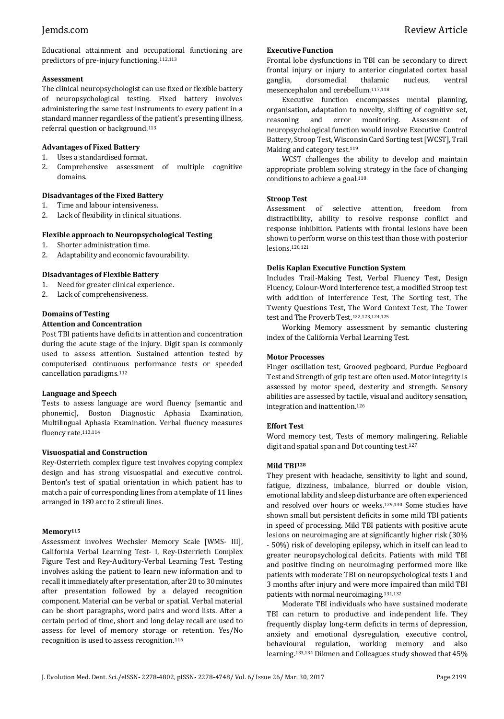Educational attainment and occupational functioning are predictors of pre-injury functioning.112,113

## **Assessment**

The clinical neuropsychologist can use fixed or flexible battery of neuropsychological testing. Fixed battery involves administering the same test instruments to every patient in a standard manner regardless of the patient's presenting illness, referral question or background.<sup>113</sup>

## **Advantages of Fixed Battery**

- 1. Uses a standardised format.
- 2. Comprehensive assessment of multiple cognitive domains.

# **Disadvantages of the Fixed Battery**

- 1. Time and labour intensiveness.
- 2. Lack of flexibility in clinical situations.

## **Flexible approach to Neuropsychological Testing**

- 1. Shorter administration time.
- 2. Adaptability and economic favourability.

# **Disadvantages of Flexible Battery**

- 1. Need for greater clinical experience.
- 2. Lack of comprehensiveness.

# **Domains of Testing**

## **Attention and Concentration**

Post TBI patients have deficits in attention and concentration during the acute stage of the injury. Digit span is commonly used to assess attention. Sustained attention tested by computerised continuous performance tests or speeded cancellation paradigms.<sup>112</sup>

### **Language and Speech**

Tests to assess language are word fluency [semantic and phonemic], Boston Diagnostic Aphasia Examination, Multilingual Aphasia Examination. Verbal fluency measures fluency rate.113,114

# **Visuospatial and Construction**

Rey-Osterrieth complex figure test involves copying complex design and has strong visuospatial and executive control. Benton's test of spatial orientation in which patient has to match a pair of corresponding lines from a template of 11 lines arranged in 180 arc to 2 stimuli lines.

### **Memory<sup>115</sup>**

Assessment involves Wechsler Memory Scale [WMS- III], California Verbal Learning Test- I, Rey-Osterrieth Complex Figure Test and Rey-Auditory-Verbal Learning Test. Testing involves asking the patient to learn new information and to recall it immediately after presentation, after 20 to 30 minutes after presentation followed by a delayed recognition component. Material can be verbal or spatial. Verbal material can be short paragraphs, word pairs and word lists. After a certain period of time, short and long delay recall are used to assess for level of memory storage or retention. Yes/No recognition is used to assess recognition.<sup>116</sup>

# **Executive Function**

Frontal lobe dysfunctions in TBI can be secondary to direct frontal injury or injury to anterior cingulated cortex basal ganglia, dorsomedial thalamic nucleus, ventral mesencephalon and cerebellum.117,118

Executive function encompasses mental planning, organisation, adaptation to novelty, shifting of cognitive set, reasoning and error monitoring. Assessment of neuropsychological function would involve Executive Control Battery, Stroop Test, Wisconsin Card Sorting test [WCST], Trail Making and category test.<sup>119</sup>

WCST challenges the ability to develop and maintain appropriate problem solving strategy in the face of changing conditions to achieve a goal.<sup>118</sup>

## **Stroop Test**

Assessment of selective attention, freedom from distractibility, ability to resolve response conflict and response inhibition. Patients with frontal lesions have been shown to perform worse on this test than those with posterior lesions.120,121

## **Delis Kaplan Executive Function System**

Includes Trail-Making Test, Verbal Fluency Test, Design Fluency, Colour-Word Interference test, a modified Stroop test with addition of interference Test, The Sorting test, The Twenty Questions Test, The Word Context Test, The Tower test and The Proverb Test.122,123,124,125

Working Memory assessment by semantic clustering index of the California Verbal Learning Test.

## **Motor Processes**

Finger oscillation test, Grooved pegboard, Purdue Pegboard Test and Strength of grip test are often used. Motor integrity is assessed by motor speed, dexterity and strength. Sensory abilities are assessed by tactile, visual and auditory sensation, integration and inattention.<sup>126</sup>

# **Effort Test**

Word memory test, Tests of memory malingering, Reliable digit and spatial span and Dot counting test.<sup>127</sup>

# **Mild TBI<sup>128</sup>**

They present with headache, sensitivity to light and sound, fatigue, dizziness, imbalance, blurred or double vision, emotional lability and sleep disturbance are often experienced and resolved over hours or weeks.129,130 Some studies have shown small but persistent deficits in some mild TBI patients in speed of processing. Mild TBI patients with positive acute lesions on neuroimaging are at significantly higher risk (30% - 50%) risk of developing epilepsy, which in itself can lead to greater neuropsychological deficits. Patients with mild TBI and positive finding on neuroimaging performed more like patients with moderate TBI on neuropsychological tests 1 and 3 months after injury and were more impaired than mild TBI patients with normal neuroimaging.131,132

Moderate TBI individuals who have sustained moderate TBI can return to productive and independent life. They frequently display long-term deficits in terms of depression, anxiety and emotional dysregulation, executive control, behavioural regulation, working memory and also learning.133,134 Dikmen and Colleagues study showed that 45%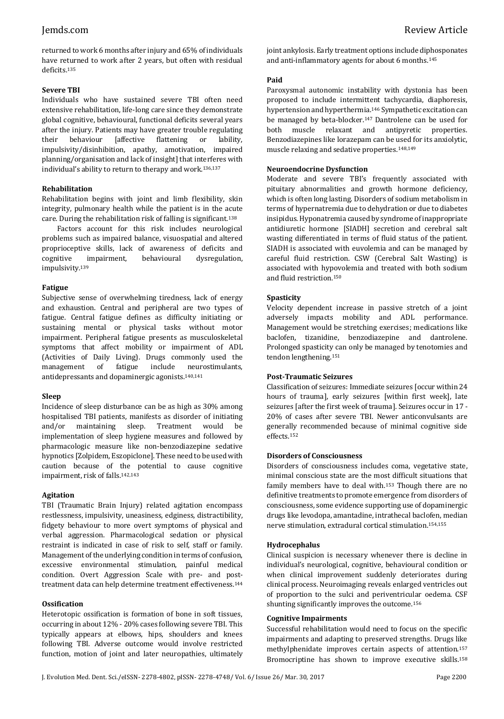returned to work 6 months after injury and 65% of individuals have returned to work after 2 years, but often with residual deficits.<sup>135</sup>

# **Severe TBI**

Individuals who have sustained severe TBI often need extensive rehabilitation, life-long care since they demonstrate global cognitive, behavioural, functional deficits several years after the injury. Patients may have greater trouble regulating their behaviour [affective flattening or lability, impulsivity/disinhibition, apathy, amotivation, impaired planning/organisation and lack of insight] that interferes with individual's ability to return to therapy and work.136,137

# **Rehabilitation**

Rehabilitation begins with joint and limb flexibility, skin integrity, pulmonary health while the patient is in the acute care. During the rehabilitation risk of falling is significant.<sup>138</sup>

Factors account for this risk includes neurological problems such as impaired balance, visuospatial and altered proprioceptive skills, lack of awareness of deficits and cognitive impairment, behavioural dysregulation, impulsivity.<sup>139</sup>

# **Fatigue**

Subjective sense of overwhelming tiredness, lack of energy and exhaustion. Central and peripheral are two types of fatigue. Central fatigue defines as difficulty initiating or sustaining mental or physical tasks without motor impairment. Peripheral fatigue presents as musculoskeletal symptoms that affect mobility or impairment of ADL (Activities of Daily Living). Drugs commonly used the management of fatigue include neurostimulants, antidepressants and dopaminergic agonists.140,141

# **Sleep**

Incidence of sleep disturbance can be as high as 30% among hospitalised TBI patients, manifests as disorder of initiating and/or maintaining sleep. Treatment would be implementation of sleep hygiene measures and followed by pharmacologic measure like non-benzodiazepine sedative hypnotics [Zolpidem, Eszopiclone]. These need to be used with caution because of the potential to cause cognitive impairment, risk of falls.142,143

# **Agitation**

TBI (Traumatic Brain Injury) related agitation encompass restlessness, impulsivity, uneasiness, edginess, distractibility, fidgety behaviour to more overt symptoms of physical and verbal aggression. Pharmacological sedation or physical restraint is indicated in case of risk to self, staff or family. Management of the underlying condition in terms of confusion, excessive environmental stimulation, painful medical condition. Overt Aggression Scale with pre- and posttreatment data can help determine treatment effectiveness.<sup>144</sup>

# **Ossification**

Heterotopic ossification is formation of bone in soft tissues, occurring in about 12% - 20% cases following severe TBI. This typically appears at elbows, hips, shoulders and knees following TBI. Adverse outcome would involve restricted function, motion of joint and later neuropathies, ultimately joint ankylosis. Early treatment options include diphosponates and anti-inflammatory agents for about 6 months.<sup>145</sup>

# **Paid**

Paroxysmal autonomic instability with dystonia has been proposed to include intermittent tachycardia, diaphoresis, hypertension and hyperthermia.<sup>146</sup> Sympathetic excitation can be managed by beta-blocker.<sup>147</sup> Dantrolene can be used for both muscle relaxant and antipyretic properties. Benzodiazepines like lorazepam can be used for its anxiolytic, muscle relaxing and sedative properties.148,149

# **Neuroendocrine Dysfunction**

Moderate and severe TBI's frequently associated with pituitary abnormalities and growth hormone deficiency, which is often long lasting. Disorders of sodium metabolism in terms of hypernatremia due to dehydration or due to diabetes insipidus. Hyponatremia caused by syndrome of inappropriate antidiuretic hormone [SIADH] secretion and cerebral salt wasting differentiated in terms of fluid status of the patient. SIADH is associated with euvolemia and can be managed by careful fluid restriction. CSW (Cerebral Salt Wasting) is associated with hypovolemia and treated with both sodium and fluid restriction. 150

# **Spasticity**

Velocity dependent increase in passive stretch of a joint adversely impacts mobility and ADL performance. Management would be stretching exercises; medications like baclofen, tizanidine, benzodiazepine and dantrolene. Prolonged spasticity can only be managed by tenotomies and tendon lengthening.<sup>151</sup>

# **Post-Traumatic Seizures**

Classification of seizures: Immediate seizures [occur within 24 hours of trauma], early seizures [within first week], late seizures [after the first week of trauma]. Seizures occur in 17 - 20% of cases after severe TBI. Newer anticonvulsants are generally recommended because of minimal cognitive side effects.<sup>152</sup>

# **Disorders of Consciousness**

Disorders of consciousness includes coma, vegetative state, minimal conscious state are the most difficult situations that family members have to deal with.<sup>153</sup> Though there are no definitive treatments to promote emergence from disorders of consciousness, some evidence supporting use of dopaminergic drugs like levodopa, amantadine, intrathecal baclofen, median nerve stimulation, extradural cortical stimulation.154,155

# **Hydrocephalus**

Clinical suspicion is necessary whenever there is decline in individual's neurological, cognitive, behavioural condition or when clinical improvement suddenly deteriorates during clinical process. Neuroimaging reveals enlarged ventricles out of proportion to the sulci and periventricular oedema. CSF shunting significantly improves the outcome.<sup>156</sup>

# **Cognitive Impairments**

Successful rehabilitation would need to focus on the specific impairments and adapting to preserved strengths. Drugs like methylphenidate improves certain aspects of attention.<sup>157</sup> Bromocriptine has shown to improve executive skills.158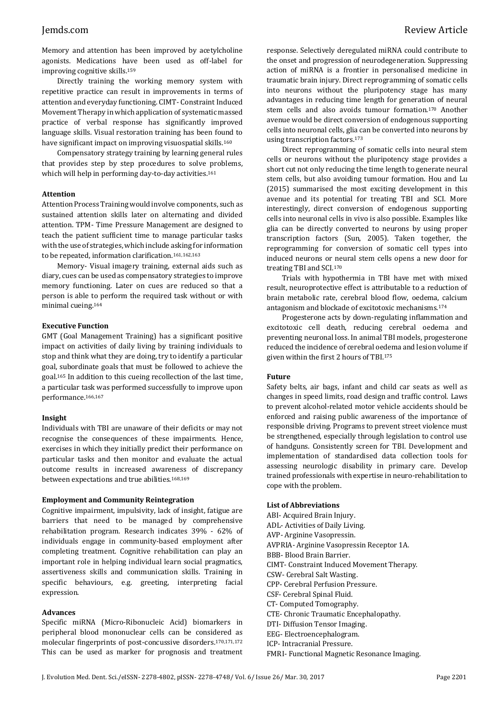Memory and attention has been improved by acetylcholine agonists. Medications have been used as off-label for improving cognitive skills.<sup>159</sup>

Directly training the working memory system with repetitive practice can result in improvements in terms of attention and everyday functioning. CIMT- Constraint Induced Movement Therapy in which application of systematic massed practice of verbal response has significantly improved language skills. Visual restoration training has been found to have significant impact on improving visuospatial skills.<sup>160</sup>

Compensatory strategy training by learning general rules that provides step by step procedures to solve problems, which will help in performing day-to-day activities.<sup>161</sup>

#### **Attention**

Attention Process Training would involve components, such as sustained attention skills later on alternating and divided attention. TPM- Time Pressure Management are designed to teach the patient sufficient time to manage particular tasks with the use of strategies, which include asking for information to be repeated, information clarification.161,162,163

Memory- Visual imagery training, external aids such as diary, cues can be used as compensatory strategies to improve memory functioning. Later on cues are reduced so that a person is able to perform the required task without or with minimal cueing.<sup>164</sup>

#### **Executive Function**

GMT (Goal Management Training) has a significant positive impact on activities of daily living by training individuals to stop and think what they are doing, try to identify a particular goal, subordinate goals that must be followed to achieve the goal.<sup>165</sup> In addition to this cueing recollection of the last time, a particular task was performed successfully to improve upon performance.166,167

#### **Insight**

Individuals with TBI are unaware of their deficits or may not recognise the consequences of these impairments. Hence, exercises in which they initially predict their performance on particular tasks and then monitor and evaluate the actual outcome results in increased awareness of discrepancy between expectations and true abilities.168,169

#### **Employment and Community Reintegration**

Cognitive impairment, impulsivity, lack of insight, fatigue are barriers that need to be managed by comprehensive rehabilitation program. Research indicates 39% - 62% of individuals engage in community-based employment after completing treatment. Cognitive rehabilitation can play an important role in helping individual learn social pragmatics, assertiveness skills and communication skills. Training in specific behaviours, e.g. greeting, interpreting facial expression.

#### **Advances**

Specific miRNA (Micro-Ribonucleic Acid) biomarkers in peripheral blood mononuclear cells can be considered as molecular fingerprints of post-concussive disorders.170,171,172 This can be used as marker for prognosis and treatment response. Selectively deregulated miRNA could contribute to the onset and progression of neurodegeneration. Suppressing action of miRNA is a frontier in personalised medicine in traumatic brain injury. Direct reprogramming of somatic cells into neurons without the pluripotency stage has many advantages in reducing time length for generation of neural stem cells and also avoids tumour formation.<sup>170</sup> Another avenue would be direct conversion of endogenous supporting cells into neuronal cells, glia can be converted into neurons by using transcription factors.<sup>173</sup>

Direct reprogramming of somatic cells into neural stem cells or neurons without the pluripotency stage provides a short cut not only reducing the time length to generate neural stem cells, but also avoiding tumour formation. Hou and Lu (2015) summarised the most exciting development in this avenue and its potential for treating TBI and SCI. More interestingly, direct conversion of endogenous supporting cells into neuronal cells in vivo is also possible. Examples like glia can be directly converted to neurons by using proper transcription factors (Sun, 2005). Taken together, the reprogramming for conversion of somatic cell types into induced neurons or neural stem cells opens a new door for treating TBI and SCI.<sup>170</sup>

Trials with hypothermia in TBI have met with mixed result, neuroprotective effect is attributable to a reduction of brain metabolic rate, cerebral blood flow, oedema, calcium antagonism and blockade of excitotoxic mechanisms.<sup>174</sup>

Progesterone acts by down-regulating inflammation and excitotoxic cell death, reducing cerebral oedema and preventing neuronal loss. In animal TBI models, progesterone reduced the incidence of cerebral oedema and lesion volume if given within the first 2 hours of TBI.<sup>175</sup>

#### **Future**

Safety belts, air bags, infant and child car seats as well as changes in speed limits, road design and traffic control. Laws to prevent alcohol-related motor vehicle accidents should be enforced and raising public awareness of the importance of responsible driving. Programs to prevent street violence must be strengthened, especially through legislation to control use of handguns. Consistently screen for TBI. Development and implementation of standardised data collection tools for assessing neurologic disability in primary care. Develop trained professionals with expertise in neuro-rehabilitation to cope with the problem.

## **List of Abbreviations**

ABI- Acquired Brain Injury. ADL- Activities of Daily Living. AVP- Arginine Vasopressin. AVPRIA- Arginine Vasopressin Receptor 1A. BBB- Blood Brain Barrier. CIMT- Constraint Induced Movement Therapy. CSW- Cerebral Salt Wasting. CPP- Cerebral Perfusion Pressure. CSF- Cerebral Spinal Fluid. CT- Computed Tomography. CTE- Chronic Traumatic Encephalopathy. DTI- Diffusion Tensor Imaging. EEG- Electroencephalogram. ICP- Intracranial Pressure. FMRI- Functional Magnetic Resonance Imaging.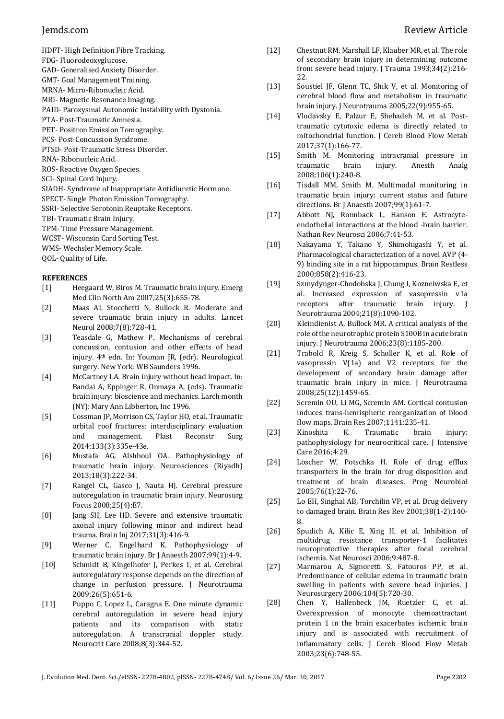- HDFT- High Definition Fibre Tracking.
- FDG- Fluorodeoxyglucose.
- GAD- Generalised Anxiety Disorder.
- GMT- Goal Management Training.
- MRNA- Micro-Ribonucleic Acid.
- MRI- Magnetic Resonance Imaging.
- PAID- Paroxysmal Autonomic Instability with Dystonia.
- PTA- Post-Traumatic Amnesia.
- PET- Positron Emission Tomography.
- PCS- Post-Concussion Syndrome.
- PTSD- Post-Traumatic Stress Disorder.
- RNA- Ribonucleic Acid.
- ROS- Reactive Oxygen Species.
- SCI- Spinal Cord Injury.
- SIADH- Syndrome of Inappropriate Antidiuretic Hormone.
- SPECT- Single Photon Emission Tomography.
- SSRI- Selective Serotonin Reuptake Receptors.
- TBI- Traumatic Brain Injury.
- TPM- Time Pressure Management.
- WCST- Wisconsin Card Sorting Test.
- WMS- Wechsler Memory Scale.
- QOL- Quality of Life.

# **REFERENCES**

- [1] Heegaard W, Biros M. Traumatic brain injury. Emerg Med Clin North Am 2007;25(3):655-78.
- [2] Maas AI, Stocchetti N, Bullock R. Moderate and severe traumatic brain injury in adults. Lancet Neurol 2008;7(8):728-41.
- [3] Teasdale G, Mathew P. Mechanisms of cerebral concussion, contusion and other effects of head injury. 4th edn. In: Youman JR, (edr). Neurological surgery. New York: WB Saunders 1996.
- [4] McCartney LA. Brain injury without head impact. In: Bandai A, Eppinger R, Onmaya A, (eds). Traumatic brain injury: bioscience and mechanics. Larch month (NY): Mary Ann Libberton, Inc 1996.
- [5] Cossman JP, Morrison CS, Taylor HO, et al. Traumatic orbital roof fractures: interdisciplinary evaluation and management. Plast Reconstr Surg 2014;133(3):335e-43e.
- [6] Mustafa AG, Alshboul OA. Pathophysiology of traumatic brain injury. Neurosciences (Riyadh) 2013;18(3):222-34.
- [7] Rangel CL, Gasco J, Nauta HJ. Cerebral pressure autoregulation in traumatic brain injury. Neurosurg Focus 2008;25(4):E7.
- [8] Jang SH, Lee HD. Severe and extensive traumatic axonal injury following minor and indirect head trauma. Brain Inj 2017;31(3):416-9.
- [9] Werner C, Engelhard K. Pathophysiology of traumatic brain injury. Br J Anaesth 2007;99(1):4-9.
- [10] Schmidt B, Kingelhofer J, Perkes I, et al. Cerebral autoregulatory response depends on the direction of change in perfusion pressure. J Neurotrauma 2009;26(5):651-6.
- [11] Puppo C, Lopez L, Caragna E. One minute dynamic cerebral autoregulation in severe head injury patients and its comparison with static autoregulation. A transcranial doppler study. Neurocrit Care 2008;8(3):344-52.
- [12] Chestnut RM, Marshall LF, Klauber MR, et al. The role of secondary brain injury in determining outcome from severe head injury. J Trauma 1993;34(2):216- 22.
- [13] Soustiel JF, Glenn TC, Shik V, et al. Monitoring of cerebral blood flow and metabolism in traumatic brain injury. J Neurotrauma 2005;22(9):955-65.
- [14] Vlodavsky E, Palzur E, Shehadeh M, et al. Posttraumatic cytotoxic edema is directly related to mitochondrial function. J Cereb Blood Flow Metab 2017;37(1):166-77.
- [15] Smith M. Monitoring intracranial pressure in traumatic brain injury. Anesth Analg 2008;106(1):240-8.
- [16] Tisdall MM, Smith M. Multimodal monitoring in traumatic brain injury: current status and future directions. Br J Anaesth 2007;99(1):61-7.
- [17] Abbott NJ, Ronnback L, Hanson E. Astrocyteendothelial interactions at the blood -brain barrier. Nathan Rev Neurosci 2006;7:41-53.
- [18] Nakayama Y, Takano Y, Shimohigashi Y, et al. Pharmacological characterization of a novel AVP (4- 9) binding site in a rat hippocampus. Brain Restless 2000;858(2):416-23.
- [19] Szmydynger-Chodobska J, Chung I, Kozneiwska E, et al. Increased expression of vasopressin v1a receptors after traumatic brain injury. J Neurotrauma 2004;21(8):1090-102.
- [20] Kleindienist A, Bullock MR. A critical analysis of the role of the neurotrophic protein S100B in acute brain injury. J Neurotrauma 2006;23(8):1185-200.
- [21] Trabold R, Kreig S, Scholler K, et al. Role of vasopressin V(1a) and V2 receptors for the development of secondary brain damage after traumatic brain injury in mice. J Neurotrauma 2008;25(12):1459-65.
- [22] Scremin OU, Li MG, Scremin AM. Cortical contusion induces trans-hemispheric reorganization of blood flow maps. Brain Res 2007;1141:235-41.
- [23] Kinoshita K. Traumatic brain injury: pathophysiology for neurocritical care. J Intensive Care 2016;4:29.
- [24] Loscher W, Potschka H. Role of drug efflux transporters in the brain for drug disposition and treatment of brain diseases. Prog Neurobiol 2005;76(1):22-76.
- [25] Lo EH, Singhal AB, Torchilin VP, et al. Drug delivery to damaged brain. Brain Res Rev 2001;38(1-2):140- 8.
- [26] Spudich A, Kilic E, Xing H, et al. Inhibition of multidrug resistance transporter-1 facilitates neuroprotective therapies after focal cerebral ischemia. Nat Neurosci 2006;9:487-8.
- [27] Marmarou A, Signoretti S, Fatouros PP, et al. Predominance of cellular edema in traumatic brain swelling in patients with severe head injuries. J Neurosurgery 2006;104(5):720-30.
- [28] Chen Y, Hallenbeck JM, Ruetzler C, et al. Overexpression of monocyte chemoattractant protein 1 in the brain exacerbates ischemic brain injury and is associated with recruitment of inflammatory cells. J Cereb Blood Flow Metab 2003;23(6):748-55.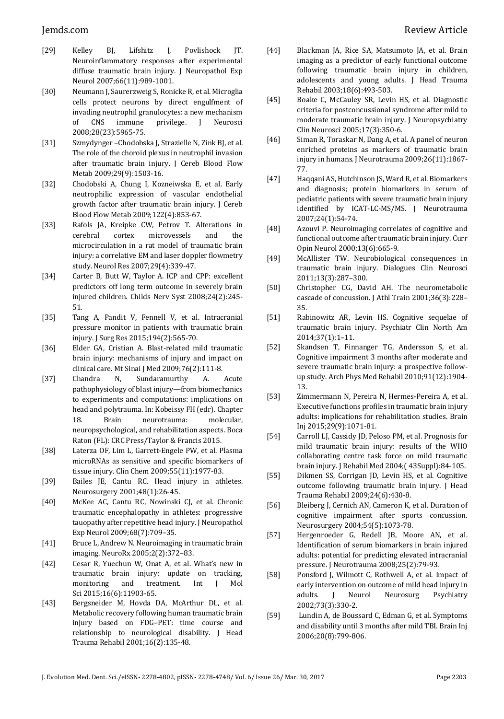- [29] Kelley BJ, Lifshitz J, Povlishock JT. Neuroinflammatory responses after experimental diffuse traumatic brain injury. J Neuropathol Exp Neurol 2007;66(11):989-1001.
- [30] Neumann J, Saurerzweig S, Ronicke R, et al. Microglia cells protect neurons by direct engulfment of invading neutrophil granulocytes: a new mechanism of CNS immune privilege. J Neurosci 2008;28(23):5965-75.
- [31] Szmydynger –Chodobska J, Strazielle N, Zink BJ, et al. The role of the choroid plexus in neutrophil invasion after traumatic brain injury. J Cereb Blood Flow Metab 2009;29(9):1503-16.
- [32] Chodobski A, Chung I, Kozneiwska E, et al. Early neutrophilic expression of vascular endothelial growth factor after traumatic brain injury. J Cereb Blood Flow Metab 2009;122(4):853-67.
- [33] Rafols JA, Kreipke CW, Petrov T. Alterations in cerebral cortex microvessels and the microcirculation in a rat model of traumatic brain injury: a correlative EM and laser doppler flowmetry study. Neurol Res 2007;29(4):339-47.
- [34] Carter B, Butt W, Taylor A. ICP and CPP: excellent predictors off long term outcome in severely brain injured children. Childs Nerv Syst 2008;24(2):245- 51.
- [35] Tang A, Pandit V, Fennell V, et al. Intracranial pressure monitor in patients with traumatic brain injury. J Surg Res 2015;194(2):565-70.
- [36] Elder GA, Cristian A. Blast-related mild traumatic brain injury: mechanisms of injury and impact on clinical care. Mt Sinai J Med 2009;76(2):111-8.
- [37] Chandra N, Sundaramurthy A. Acute pathophysiology of blast injury—from biomechanics to experiments and computations: implications on head and polytrauma. In: Kobeissy FH (edr). Chapter 18. Brain neurotrauma: molecular, neuropsychological, and rehabilitation aspects. Boca Raton (FL): CRC Press/Taylor & Francis 2015.
- [38] Laterza OF, Lim L, Garrett-Engele PW, et al. Plasma microRNAs as sensitive and specific biomarkers of tissue injury. Clin Chem 2009;55(11):1977-83.
- [39] Bailes JE, Cantu RC. Head injury in athletes. Neurosurgery 2001;48(1):26-45.
- [40] McKee AC, Cantu RC, Nowinski CJ, et al. Chronic traumatic encephalopathy in athletes: progressive tauopathy after repetitive head injury. J Neuropathol Exp Neurol 2009;68(7):709–35.
- [41] Bruce L, Andrew N. Neuroimaging in traumatic brain imaging. NeuroRx 2005;2(2):372–83.
- [42] Cesar R, Yuechun W, Onat A, et al. What's new in traumatic brain injury: update on tracking, monitoring and treatment. Int J Mol Sci 2015;16(6):11903-65.
- [43] Bergsneider M, Hovda DA, McArthur DL, et al. Metabolic recovery following human traumatic brain injury based on FDG–PET: time course and relationship to neurological disability. J Head Trauma Rehabil 2001;16(2):135-48.
- [44] Blackman JA, Rice SA, Matsumoto JA, et al. Brain imaging as a predictor of early functional outcome following traumatic brain injury in children, adolescents and young adults. J Head Trauma Rehabil 2003;18(6):493-503.
- [45] Boake C, McCauley SR, Levin HS, et al. Diagnostic criteria for postconcussional syndrome after mild to moderate traumatic brain injury. J Neuropsychiatry Clin Neurosci 2005;17(3):350-6.
- [46] Siman R, Toraskar N, Dang A, et al. A panel of neuron enriched proteins as markers of traumatic brain injury in humans. J Neurotrauma 2009;26(11):1867- 77.
- [47] Haqqani AS, Hutchinson JS, Ward R, et al. Biomarkers and diagnosis; protein biomarkers in serum of pediatric patients with severe traumatic brain injury identified by ICAT-LC-MS/MS. J Neurotrauma 2007;24(1):54-74.
- [48] Azouvi P. Neuroimaging correlates of cognitive and functional outcome after traumatic brain injury. Curr Opin Neurol 2000;13(6):665-9.
- [49] McAllister TW. Neurobiological consequences in traumatic brain injury. Dialogues Clin Neurosci 2011;13(3):287–300.
- [50] Christopher CG, David AH. The neurometabolic cascade of concussion. J Athl Train 2001;36(3):228– 35.
- [51] Rabinowitz AR, Levin HS. Cognitive sequelae of traumatic brain injury. Psychiatr Clin North Am 2014;37(1):1–11.
- [52] Skandsen T, Finnanger TG, Andersson S, et al. Cognitive impairment 3 months after moderate and severe traumatic brain injury: a prospective followup study. Arch Phys Med Rehabil 2010;91(12):1904- 13.
- [53] Zimmermann N, Pereira N, Hermes-Pereira A, et al. Executive functions profiles in traumatic brain injury adults: implications for rehabilitation studies. Brain Inj 2015;29(9):1071-81.
- [54] Carroll LJ, Cassidy JD, Peloso PM, et al. Prognosis for mild traumatic brain injury: results of the WHO collaborating centre task force on mild traumatic brain injury. J Rehabil Med 2004;( 43Suppl):84-105.
- [55] Dikmen SS, Corrigan JD, Levin HS, et al. Cognitive outcome following traumatic brain injury. J Head Trauma Rehabil 2009;24(6):430-8.
- [56] Bleiberg J, Cernich AN, Cameron K, et al. Duration of cognitive impairment after sports concussion. Neurosurgery 2004;54(5):1073-78.
- [57] Hergenroeder G, Redell JB, Moore AN, et al. Identification of serum biomarkers in brain injured adults: potential for predicting elevated intracranial pressure. J Neurotrauma 2008;25(2):79-93.
- [58] Ponsford J, Wilmott C, Rothwell A, et al. Impact of early intervention on outcome of mild head injury in adults. J Neurol Neurosurg Psychiatry 2002;73(3):330-2.
- [59] Lundin A, de Boussard C, Edman G, et al. Symptoms and disability until 3 months after mild TBI. Brain Inj 2006;20(8):799-806.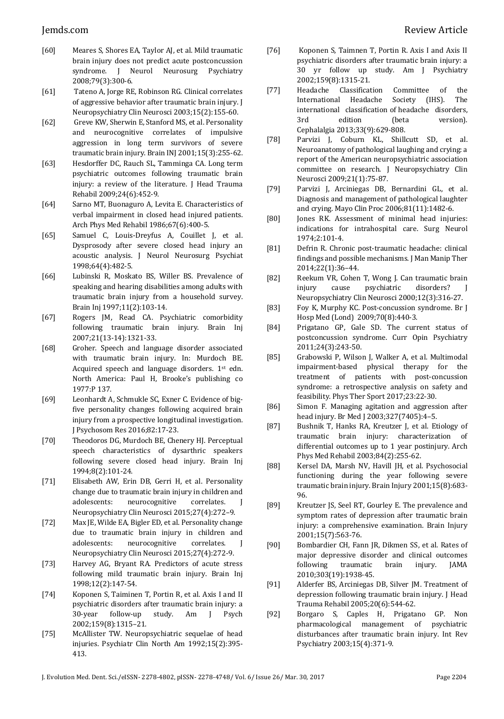- [60] Meares S, Shores EA, Taylor AJ, et al. Mild traumatic brain injury does not predict acute postconcussion syndrome. J Neurol Neurosurg Psychiatry 2008;79(3):300-6.
- [61] Tateno A, Jorge RE, Robinson RG. Clinical correlates of aggressive behavior after traumatic brain injury. J Neuropsychiatry Clin Neurosci 2003;15(2):155-60.
- [62] Greve KW, Sherwin E, Stanford MS, et al. Personality and neurocognitive correlates of impulsive aggression in long term survivors of severe traumatic brain injury. Brain INJ 2001;15(3):255-62.
- [63] Hesdorffer DC, Rauch SL, Tamminga CA. Long term psychiatric outcomes following traumatic brain injury: a review of the literature. J Head Trauma Rehabil 2009;24(6):452-9.
- [64] Sarno MT, Buonaguro A, Levita E. Characteristics of verbal impairment in closed head injured patients. Arch Phys Med Rehabil 1986;67(6):400-5.
- [65] Samuel C, Louis-Dreyfus A, Couillet J, et al. Dysprosody after severe closed head injury an acoustic analysis. J Neurol Neurosurg Psychiat 1998;64(4):482-5.
- [66] Lubinski R, Moskato BS, Willer BS. Prevalence of speaking and hearing disabilities among adults with traumatic brain injury from a household survey. Brain Inj 1997;11(2):103-14.
- [67] Rogers JM, Read CA. Psychiatric comorbidity following traumatic brain injury. Brain Inj 2007;21(13-14):1321-33.
- [68] Groher. Speech and language disorder associated with traumatic brain injury. In: Murdoch BE. Acquired speech and language disorders. 1st edn. North America: Paul H, Brooke's publishing co 1977:P 137.
- [69] Leonhardt A, Schmukle SC, Exner C. Evidence of bigfive personality changes following acquired brain injury from a prospective longitudinal investigation. J Psychosom Res 2016;82:17-23.
- [70] Theodoros DG, Murdoch BE, Chenery HJ. Perceptual speech characteristics of dysarthric speakers following severe closed head injury. Brain Inj 1994;8(2):101-24.
- [71] Elisabeth AW, Erin DB, Gerri H, et al. Personality change due to traumatic brain injury in children and adolescents: neurocognitive correlates. J Neuropsychiatry Clin Neurosci 2015;27(4):272–9.
- [72] Max JE, Wilde EA, Bigler ED, et al. Personality change due to traumatic brain injury in children and adolescents: neurocognitive correlates. J Neuropsychiatry Clin Neurosci 2015;27(4):272-9.
- [73] Harvey AG, Bryant RA. Predictors of acute stress following mild traumatic brain injury. Brain Inj 1998;12(2):147-54.
- [74] Koponen S, Taiminen T, Portin R, et al. Axis I and II psychiatric disorders after traumatic brain injury: a 30-year follow-up study. Am J Psych 2002;159(8):1315–21.
- [75] McAllister TW. Neuropsychiatric sequelae of head injuries. Psychiatr Clin North Am 1992;15(2):395- 413.
- [76] Koponen S, Taimnen T, Portin R. Axis I and Axis II psychiatric disorders after traumatic brain injury: a 30 yr follow up study. Am J Psychiatry 2002;159(8):1315-21.
- [77] Headache Classification Committee of the International Headache Society (IHS). The international classification of headache disorders, 3rd edition (beta version). Cephalalgia 2013;33(9):629-808.
- [78] Parvizi J, Coburn KL, Shillcutt SD, et al. Neuroanatomy of pathological laughing and crying: a report of the American neuropsychiatric association committee on research. J Neuropsychiatry Clin Neurosci 2009;21(1):75-87.
- [79] Parvizi J, Arciniegas DB, Bernardini GL, et al. Diagnosis and management of pathological laughter and crying. Mayo Clin Proc 2006;81(11):1482-6.
- [80] Jones RK. Assessment of minimal head injuries: indications for intrahospital care. Surg Neurol 1974;2:101-4.
- [81] Defrin R. Chronic post-traumatic headache: clinical findings and possible mechanisms. J Man Manip Ther 2014;22(1):36–44.
- [82] Reekum VR, Cohen T, Wong J. Can traumatic brain injury cause psychiatric disorders? Neuropsychiatry Clin Neurosci 2000;12(3):316-27.
- [83] Foy K, Murphy KC. Post-concussion syndrome. Br J Hosp Med (Lond) 2009;70(8):440-3.
- [84] Prigatano GP, Gale SD. The current status of postconcussion syndrome. Curr Opin Psychiatry 2011;24(3):243-50.
- [85] Grabowski P, Wilson J, Walker A, et al. Multimodal impairment-based physical therapy for the treatment of patients with post-concussion syndrome: a retrospective analysis on safety and feasibility. Phys Ther Sport 2017;23:22-30.
- [86] Simon F. Managing agitation and aggression after head injury. Br Med J 2003;327(7405):4–5.
- [87] Bushnik T, Hanks RA, Kreutzer J, et al. Etiology of traumatic brain injury: characterization of differential outcomes up to 1 year postinjury. Arch Phys Med Rehabil 2003;84(2):255-62.
- [88] Kersel DA, Marsh NV, Havill JH, et al. Psychosocial functioning during the year following severe traumatic brain injury. Brain Injury 2001;15(8):683- 96.
- [89] Kreutzer JS, Seel RT, Gourley E. The prevalence and symptom rates of depression after traumatic brain injury: a comprehensive examination. Brain Injury 2001;15(7):563-76.
- [90] Bombardier CH, Fann JR, Dikmen SS, et al. Rates of major depressive disorder and clinical outcomes following traumatic brain injury. JAMA 2010;303(19):1938-45.
- [91] Alderfer BS, Arciniegas DB, Silver JM. Treatment of depression following traumatic brain injury. J Head Trauma Rehabil 2005;20(6):544-62.
- [92] Borgaro S, Caples H, Prigatano GP. Non pharmacological management of psychiatric disturbances after traumatic brain injury. Int Rev Psychiatry 2003;15(4):371-9.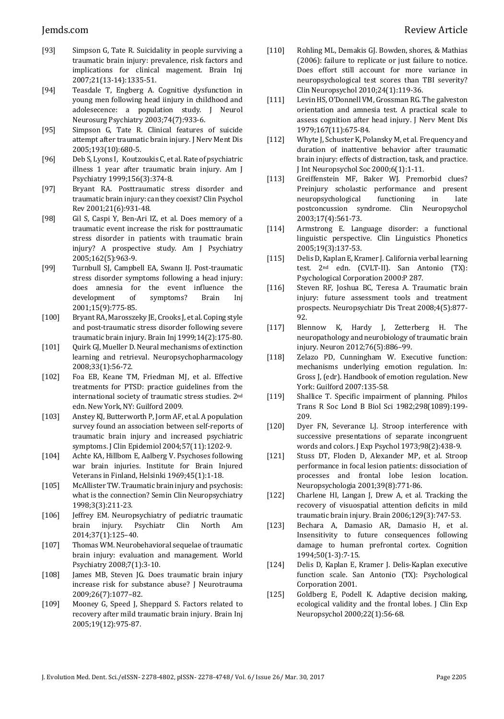- [93] Simpson G, Tate R. Suicidality in people surviving a traumatic brain injury: prevalence, risk factors and implications for clinical magement. Brain Inj 2007;21(13-14):1335-51.
- [94] Teasdale T, Engberg A. Cognitive dysfunction in young men following head iinjury in childhood and adolesecence: a population study. J Neurol Neurosurg Psychiatry 2003;74(7):933-6.
- [95] Simpson G, Tate R. Clinical features of suicide attempt after traumatic brain injury. J Nerv Ment Dis 2005;193(10):680-5.
- [96] Deb S, Lyons I, Koutzoukis C, et al. Rate of psychiatric illness 1 year after traumatic brain injury. Am J Psychiatry 1999;156(3):374-8.
- [97] Bryant RA. Posttraumatic stress disorder and traumatic brain injury: can they coexist? Clin Psychol Rev 2001;21(6):931-48.
- [98] Gil S, Caspi Y, Ben-Ari IZ, et al. Does memory of a traumatic event increase the risk for posttraumatic stress disorder in patients with traumatic brain injury? A prospective study. Am J Psychiatry 2005;162(5):963-9.
- [99] Turnbull SJ, Campbell EA, Swann IJ. Post-traumatic stress disorder symptoms following a head injury: does amnesia for the event influence the development of symptoms? Brain Inj 2001;15(9):775-85.
- [100] Bryant RA, Marosszeky JE, Crooks J, et al. Coping style and post-traumatic stress disorder following severe traumatic brain injury. Brain Inj 1999;14(2):175-80.
- [101] Quirk GJ, Mueller D. Neural mechanisms of extinction learning and retrieval. Neuropsychopharmacology 2008;33(1):56-72.
- [102] Foa EB, Keane TM, Friedman MJ, et al. Effective treatments for PTSD: practice guidelines from the international society of traumatic stress studies. 2nd edn. New York, NY: Guilford 2009.
- [103] Anstey KJ, Butterworth P, Jorm AF, et al. A population survey found an association between self-reports of traumatic brain injury and increased psychiatric symptoms. J Clin Epidemiol 2004;57(11):1202-9.
- [104] Achte KA, Hillbom E, Aalberg V. Psychoses following war brain injuries. Institute for Brain Injured Veterans in Finland, Helsinki 1969;45(1):1-18.
- [105] McAllister TW. Traumatic brain injury and psychosis: what is the connection? Semin Clin Neuropsychiatry 1998;3(3):211-23.
- [106] Jeffrey EM. Neuropsychiatry of pediatric traumatic brain injury. Psychiatr Clin North Am 2014;37(1):125–40.
- [107] Thomas WM. Neurobehavioral sequelae of traumatic brain injury: evaluation and management. World Psychiatry 2008;7(1):3-10.
- [108] James MB, Steven JG. Does traumatic brain injury increase risk for substance abuse? J Neurotrauma 2009;26(7):1077–82.
- [109] Mooney G, Speed J, Sheppard S. Factors related to recovery after mild traumatic brain injury. Brain Inj 2005;19(12):975-87.
- [110] Rohling ML, Demakis GJ. Bowden, shores, & Mathias (2006): failure to replicate or just failure to notice. Does effort still account for more variance in neuropsychological test scores than TBI severity? Clin Neuropsychol 2010;24(1):119-36.
- [111] Levin HS, O'Donnell VM, Grossman RG. The galveston orientation and amnesia test. A practical scale to assess cognition after head injury. J Nerv Ment Dis 1979;167(11):675-84.
- [112] Whyte J, Schuster K, Polansky M, et al. Frequency and duration of inattentive behavior after traumatic brain injury: effects of distraction, task, and practice. J Int Neuropsychol Soc 2000;6(1):1-11.
- [113] Greiffenstein MF, Baker WJ. Premorbid clues? Preinjury scholastic performance and present neuropsychological functioning in late postconcussion syndrome. Clin Neuropsychol 2003;17(4):561-73.
- [114] Armstrong E. Language disorder: a functional linguistic perspective. Clin Linguistics Phonetics 2005;19(3):137-53.
- [115] Delis D, Kaplan E, Kramer J. California verbal learning test. 2nd edn. (CVLT-II). San Antonio (TX): Psychological Corporation 2000:P 287.
- [116] Steven RF, Joshua BC, Teresa A. Traumatic brain injury: future assessment tools and treatment prospects. Neuropsychiatr Dis Treat 2008;4(5):877- 92.
- [117] Blennow K, Hardy J, Zetterberg H. The neuropathology and neurobiology of traumatic brain injury. Neuron 2012;76(5):886–99.
- [118] Zelazo PD, Cunningham W. Executive function: mechanisms underlying emotion regulation. In: Gross J, (edr). Handbook of emotion regulation. New York: Guilford 2007:135-58.
- [119] Shallice T. Specific impairment of planning. Philos Trans R Soc Lond B Biol Sci 1982;298(1089):199- 209.
- [120] Dyer FN, Severance LJ. Stroop interference with successive presentations of separate incongruent words and colors. J Exp Psychol 1973;98(2):438-9.
- [121] Stuss DT, Floden D, Alexander MP, et al. Stroop performance in focal lesion patients: dissociation of processes and frontal lobe lesion location. Neuropsychologia 2001;39(8):771-86.
- [122] Charlene HI, Langan J, Drew A, et al. Tracking the recovery of visuospatial attention deficits in mild traumatic brain injury. Brain 2006;129(3):747-53.
- [123] Bechara A, Damasio AR, Damasio H, et al. Insensitivity to future consequences following damage to human prefrontal cortex. Cognition 1994;50(1-3):7-15.
- [124] Delis D, Kaplan E, Kramer J. Delis-Kaplan executive function scale. San Antonio (TX): Psychological Corporation 2001.
- [125] Goldberg E, Podell K. Adaptive decision making, ecological validity and the frontal lobes. J Clin Exp Neuropsychol 2000;22(1):56-68.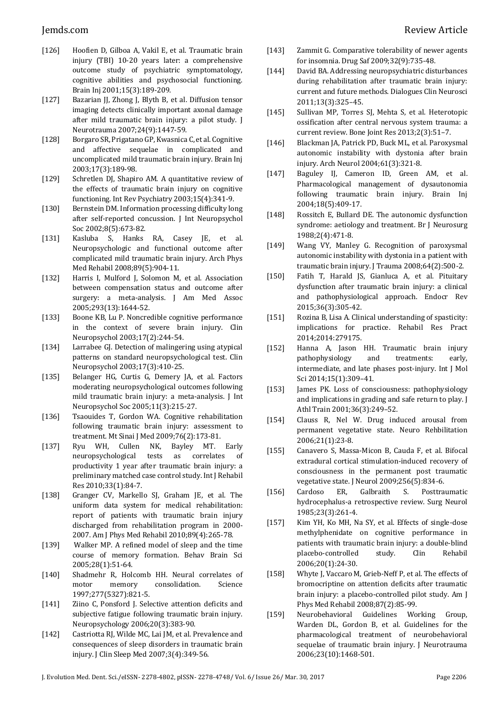- [126] Hoofien D, Gilboa A, Vakil E, et al. Traumatic brain injury (TBI) 10-20 years later: a comprehensive outcome study of psychiatric symptomatology, cognitive abilities and psychosocial functioning. Brain Inj 2001;15(3):189-209.
- [127] Bazarian JJ, Zhong J, Blyth B, et al. Diffusion tensor imaging detects clinically important axonal damage after mild traumatic brain injury: a pilot study. J Neurotrauma 2007;24(9):1447-59.
- [128] Borgaro SR, Prigatano GP, Kwasnica C, et al. Cognitive and affective sequelae in complicated and uncomplicated mild traumatic brain injury. Brain Inj 2003;17(3):189-98.
- [129] Schretlen DJ, Shapiro AM. A quantitative review of the effects of traumatic brain injury on cognitive functioning. Int Rev Psychiatry 2003;15(4):341-9.
- [130] Bernstein DM. Information processing difficulty long after self-reported concussion. J Int Neuropsychol Soc 2002;8(5):673-82.
- [131] Kasluba S, Hanks RA, Casey JE, et al. Neuropsychologic and functional outcome after complicated mild traumatic brain injury. Arch Phys Med Rehabil 2008;89(5):904-11.
- [132] Harris I, Mulford J, Solomon M, et al. Association between compensation status and outcome after surgery: a meta-analysis. J Am Med Assoc 2005;293(13):1644-52.
- [133] Boone KB, Lu P. Noncredible cognitive performance in the context of severe brain injury. Clin Neuropsychol 2003;17(2):244-54.
- [134] Larrabee GJ. Detection of malingering using atypical patterns on standard neuropsychological test. Clin Neuropsychol 2003;17(3):410-25.
- [135] Belanger HG, Curtis G, Demery JA, et al. Factors moderating neuropsychological outcomes following mild traumatic brain injury: a meta-analysis. J Int Neuropsychol Soc 2005;11(3):215-27.
- [136] Tsaouides T, Gordon WA. Cognitive rehabilitation following traumatic brain injury: assessment to treatment. Mt Sinai J Med 2009;76(2):173-81.
- [137] Ryu WH, Cullen NK, Bayley MT. Early neuropsychological tests as correlates of productivity 1 year after traumatic brain injury: a preliminary matched case control study. Int J Rehabil Res 2010;33(1):84-7.
- [138] Granger CV, Markello SJ, Graham JE, et al. The uniform data system for medical rehabilitation: report of patients with traumatic brain injury discharged from rehabilitation program in 2000- 2007. Am J Phys Med Rehabil 2010;89(4):265-78.
- [139] Walker MP. A refined model of sleep and the time course of memory formation. Behav Brain Sci 2005;28(1):51-64.
- [140] Shadmehr R, Holcomb HH. Neural correlates of motor memory consolidation. Science 1997;277(5327):821-5.
- [141] Ziino C, Ponsford J. Selective attention deficits and subjective fatigue following traumatic brain injury. Neuropsychology 2006;20(3):383-90.
- [142] Castriotta RJ, Wilde MC, Lai JM, et al. Prevalence and consequences of sleep disorders in traumatic brain injury. J Clin Sleep Med 2007;3(4):349-56.
- [143] Zammit G. Comparative tolerability of newer agents for insomnia. Drug Saf 2009;32(9):735-48.
- [144] David BA. Addressing neuropsychiatric disturbances during rehabilitation after traumatic brain injury: current and future methods. Dialogues Clin Neurosci 2011;13(3):325–45.
- [145] Sullivan MP, Torres SJ, Mehta S, et al. Heterotopic ossification after central nervous system trauma: a current review. Bone Joint Res 2013;2(3):51–7.
- [146] Blackman JA, Patrick PD, Buck ML, et al. Paroxysmal autonomic instability with dystonia after brain injury. Arch Neurol 2004;61(3):321-8.
- [147] Baguley IJ, Cameron ID, Green AM, et al. Pharmacological management of dysautonomia following traumatic brain injury. Brain Inj 2004;18(5):409-17.
- [148] Rossitch E, Bullard DE. The autonomic dysfunction syndrome: aetiology and treatment. Br J Neurosurg 1988;2(4):471-8.
- [149] Wang VY, Manley G. Recognition of paroxysmal autonomic instability with dystonia in a patient with traumatic brain injury. J Trauma 2008;64(2):500-2.
- [150] Fatih T, Harald JS, Gianluca A, et al. Pituitary dysfunction after traumatic brain injury: a clinical and pathophysiological approach. Endocr Rev 2015;36(3):305-42.
- [151] Rozina B, Lisa A. Clinical understanding of spasticity: implications for practice. Rehabil Res Pract 2014;2014:279175.
- [152] Hanna A, Jason HH. Traumatic brain injury pathophysiology and treatments: early, intermediate, and late phases post-injury. Int J Mol Sci 2014;15(1):309–41.
- [153] James PK. Loss of consciousness: pathophysiology and implications in grading and safe return to play. J Athl Train 2001;36(3):249–52.
- [154] Clauss R, Nel W. Drug induced arousal from permanent vegetative state. Neuro Rehbilitation 2006;21(1):23-8.
- [155] Canavero S, Massa-Micon B, Cauda F, et al. Bifocal extradural cortical stimulation-induced recovery of consciousness in the permanent post traumatic vegetative state. J Neurol 2009;256(5):834-6.
- [156] Cardoso ER, Galbraith S. Posttraumatic hydrocephalus-a retrospective review. Surg Neurol 1985;23(3):261-4.
- [157] Kim YH, Ko MH, Na SY, et al. Effects of single-dose methylphenidate on cognitive performance in patients with traumatic brain injury: a double-blind placebo-controlled study. Clin Rehabil 2006;20(1):24-30.
- [158] Whyte J, Vaccaro M, Grieb-Neff P, et al. The effects of bromocriptine on attention deficits after traumatic brain injury: a placebo-controlled pilot study. Am J Phys Med Rehabil 2008;87(2):85-99.
- [159] Neurobehavioral Guidelines Working Group, Warden DL, Gordon B, et al. Guidelines for the pharmacological treatment of neurobehavioral sequelae of traumatic brain injury. J Neurotrauma 2006;23(10):1468-501.